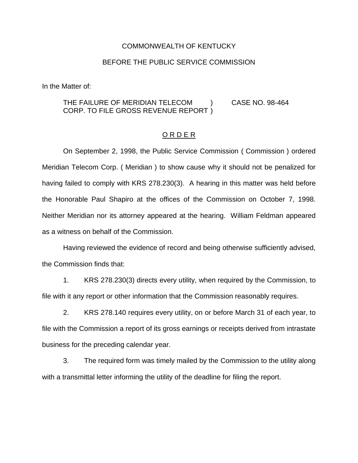## COMMONWEALTH OF KENTUCKY

## BEFORE THE PUBLIC SERVICE COMMISSION

In the Matter of:

## THE FAILURE OF MERIDIAN TELECOM (CASE NO. 98-464) CORP. TO FILE GROSS REVENUE REPORT )

## O R D E R

On September 2, 1998, the Public Service Commission ( Commission ) ordered Meridian Telecom Corp. ( Meridian ) to show cause why it should not be penalized for having failed to comply with KRS 278.230(3). A hearing in this matter was held before the Honorable Paul Shapiro at the offices of the Commission on October 7, 1998. Neither Meridian nor its attorney appeared at the hearing. William Feldman appeared as a witness on behalf of the Commission.

Having reviewed the evidence of record and being otherwise sufficiently advised, the Commission finds that:

1. KRS 278.230(3) directs every utility, when required by the Commission, to file with it any report or other information that the Commission reasonably requires.

2. KRS 278.140 requires every utility, on or before March 31 of each year, to file with the Commission a report of its gross earnings or receipts derived from intrastate business for the preceding calendar year.

3. The required form was timely mailed by the Commission to the utility along with a transmittal letter informing the utility of the deadline for filing the report.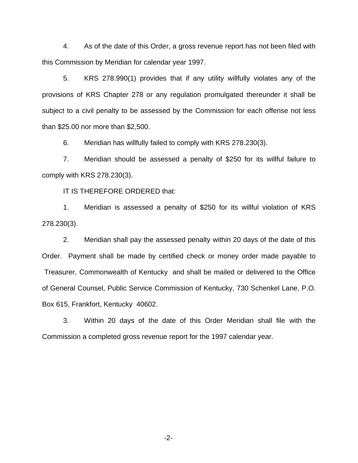4. As of the date of this Order, a gross revenue report has not been filed with this Commission by Meridian for calendar year 1997.

5. KRS 278.990(1) provides that if any utility willfully violates any of the provisions of KRS Chapter 278 or any regulation promulgated thereunder it shall be subject to a civil penalty to be assessed by the Commission for each offense not less than \$25.00 nor more than \$2,500.

6. Meridian has willfully failed to comply with KRS 278.230(3).

7. Meridian should be assessed a penalty of \$250 for its willful failure to comply with KRS 278.230(3).

IT IS THEREFORE ORDERED that:

1. Meridian is assessed a penalty of \$250 for its willful violation of KRS 278.230(3).

2. Meridian shall pay the assessed penalty within 20 days of the date of this Order. Payment shall be made by certified check or money order made payable to Treasurer, Commonwealth of Kentucky and shall be mailed or delivered to the Office of General Counsel, Public Service Commission of Kentucky, 730 Schenkel Lane, P.O. Box 615, Frankfort, Kentucky 40602.

3. Within 20 days of the date of this Order Meridian shall file with the Commission a completed gross revenue report for the 1997 calendar year.

-2-